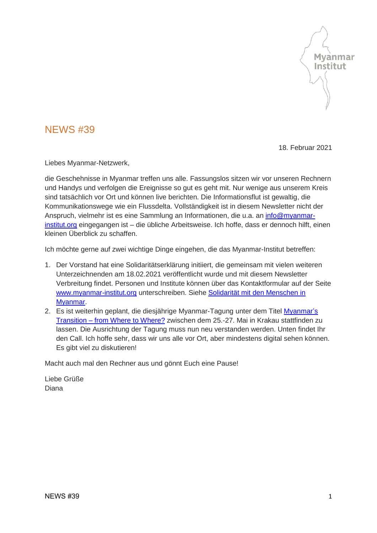

## NEWS #39

18. Februar 2021

Liebes Myanmar-Netzwerk,

die Geschehnisse in Myanmar treffen uns alle. Fassungslos sitzen wir vor unseren Rechnern und Handys und verfolgen die Ereignisse so gut es geht mit. Nur wenige aus unserem Kreis sind tatsächlich vor Ort und können live berichten. Die Informationsflut ist gewaltig, die Kommunikationswege wie ein Flussdelta. Vollständigkeit ist in diesem Newsletter nicht der Anspruch, vielmehr ist es eine Sammlung an Informationen, die u.a. an [info@myanmar](mailto:info@myanmar-institut.org)[institut.org](mailto:info@myanmar-institut.org) eingegangen ist – die übliche Arbeitsweise. Ich hoffe, dass er dennoch hilft, einen kleinen Überblick zu schaffen.

Ich möchte gerne auf zwei wichtige Dinge eingehen, die das Myanmar-Institut betreffen:

- 1. Der Vorstand hat eine Solidaritätserklärung initiiert, die gemeinsam mit vielen weiteren Unterzeichnenden am 18.02.2021 veröffentlicht wurde und mit diesem Newsletter Verbreitung findet. Personen und Institute können über das Kontaktformular auf der Seite [www.myanmar-institut.org](http://www.myanmar-institut.org/) unterschreiben. Siehe Solidarität mit den Menschen in [Myanmar.](#page-3-0)
- 2. Es ist weiterhin geplant, die diesjährige Myanmar-Tagung unter dem Titel [Myanmar's](#page-4-0)  Transition – [from Where to Where?](#page-4-0) zwischen dem 25.-27. Mai in Krakau stattfinden zu lassen. Die Ausrichtung der Tagung muss nun neu verstanden werden. Unten findet Ihr den Call. Ich hoffe sehr, dass wir uns alle vor Ort, aber mindestens digital sehen können. Es gibt viel zu diskutieren!

Macht auch mal den Rechner aus und gönnt Euch eine Pause!

Liebe Grüße Diana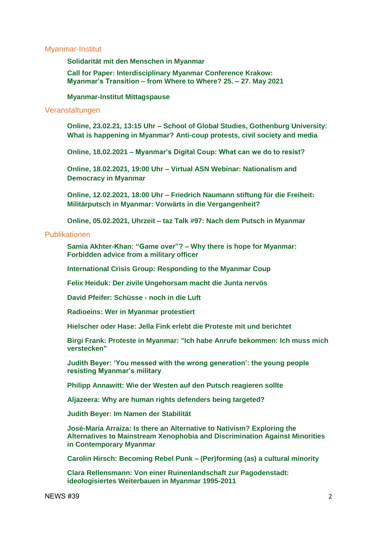#### [Myanmar-Institut](#page-3-1)

**[Solidarität mit den Menschen in Myanmar](#page-3-0)**

**[Call for Paper: Interdisciplinary Myanmar Conference Krakow:](#page-4-0)  Myanmar's Transition – [from Where to Where? 25. –](#page-4-0) 27. May 2021**

#### **[Myanmar-Institut Mittagspause](#page-4-1)**

#### [Veranstaltungen](#page-5-0)

**Online, 23.02.21, 13:15 Uhr – [School of Global Studies, Gothenburg University:](#page-5-1)  [What is happening in Myanmar? Anti-coup protests, civil society and media](#page-5-1)**

**Online, 18.02.2021 – [Myanmar's Digital Coup: What can we do to resist?](#page-5-2)**

**Online, 18.02.2021, 19:00 Uhr – [Virtual ASN Webinar: Nationalism and](#page-6-0)  [Democracy in Myanmar](#page-6-0)**

**Online, 12.02.2021, 18:00 Uhr – [Friedrich Naumann stiftung für die Freiheit:](#page-6-1)  [Militärputsch in Myanmar: Vorwärts in die Vergangenheit?](#page-6-1)**

**Online, 05.02.2021, Uhrzeit – [taz Talk #97: Nach dem Putsch in Myanmar](#page-7-0)**

#### [Publikationen](#page-5-1)

**[Samia Akhter-Khan: "Game over"? –](#page-7-1) Why there is hope for Myanmar: [Forbidden advice from a military officer](#page-7-1)**

**[International Crisis Group: Responding to the Myanmar Coup](#page-7-2)**

**[Felix Heiduk: Der zivile Ungehorsam macht die Junta nervös](#page-7-3)**

**[David Pfeifer: Schüsse -](#page-8-0) noch in die Luft**

**[Radioeins: Wer in Myanmar protestiert](#page-8-1)**

**[Hielscher oder Hase: Jella Fink erlebt die Proteste mit und berichtet](#page-8-2)**

**[Birgi Frank: Proteste in Myanmar: "Ich habe Anrufe bekommen: Ich muss mich](#page-8-3)  [verstecken"](#page-8-3)**

**[Judith Beyer: 'You messed with the wrong generation': the young people](#page-9-0)  [resisting Myanmar's military](#page-9-0)**

**[Philipp Annawitt: Wie der Westen auf den Putsch reagieren sollte](#page-9-1)**

**[Aljazeera: Why are human rights defenders being targeted?](#page-9-2)**

**[Judith Beyer: Im Namen der Stabilität](#page-10-0)**

**[José-María Arraiza: Is there an Alternative to Nativism? Exploring the](#page-10-1)  [Alternatives to Mainstream Xenophobia and](#page-10-1) Discrimination Against Minorities [in Contemporary Myanmar](#page-10-1)**

**[Carolin Hirsch: Becoming Rebel Punk –](#page-10-2) (Per)forming (as) a cultural minority**

**[Clara Rellensmann: Von einer Ruinenlandschaft zur Pagodenstadt:](#page-10-3)  [ideologisiertes Weiterbauen in Myanmar 1995-2011](#page-10-3)**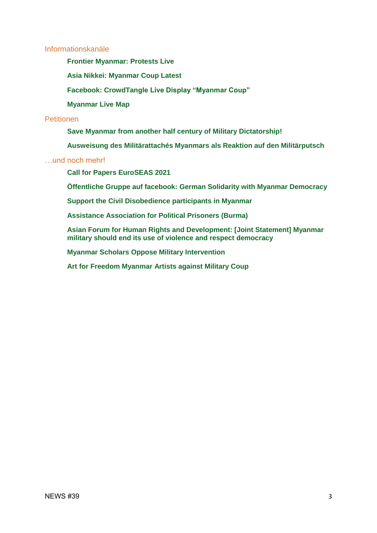## [Informationskanäle](#page-11-0)

- **[Frontier Myanmar: Protests Live](#page-11-1)**
- **[Asia Nikkei: Myanmar Coup Latest](#page-11-2)**
- **[Facebook: CrowdTangle Live Display "Myanmar Coup"](#page-11-3)**
- **[Myanmar Live Map](#page-11-4)**

## [Petitionen](#page-12-0)

- **[Save Myanmar from another half century of Military Dictatorship!](#page-12-1)**
- **[Ausweisung des Militärattachés Myanmars als Reaktion auf den Militärputsch](#page-12-2)**

## […und noch mehr!](#page-13-0)

- **[Call for Papers EuroSEAS 2021](#page-13-1)**
- **[Öffentliche Gruppe auf facebook: German Solidarity with Myanmar Democracy](#page-14-0)**
- **[Support the Civil Disobedience participants in Myanmar](#page-14-1)**
- **[Assistance Association for Political Prisoners \(Burma\)](#page-14-2)**
- **[Asian Forum for Human Rights and Development: \[Joint Statement\] Myanmar](#page-14-3)  [military should end its use of violence and respect democracy](#page-14-3)**
- **[Myanmar Scholars Oppose Military Intervention](#page-14-4)**
- **[Art for Freedom Myanmar Artists against Military Coup](#page-15-0)**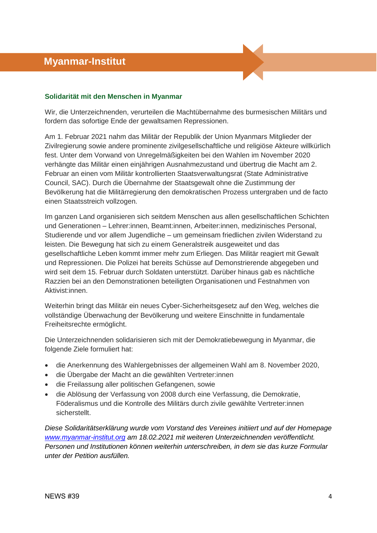# <span id="page-3-1"></span> **Myanmar-Institut**

### <span id="page-3-0"></span>**Solidarität mit den Menschen in Myanmar**

Wir, die Unterzeichnenden, verurteilen die Machtübernahme des burmesischen Militärs und fordern das sofortige Ende der gewaltsamen Repressionen.

Am 1. Februar 2021 nahm das Militär der Republik der Union Myanmars Mitglieder der Zivilregierung sowie andere prominente zivilgesellschaftliche und religiöse Akteure willkürlich fest. Unter dem Vorwand von Unregelmäßigkeiten bei den Wahlen im November 2020 verhängte das Militär einen einjährigen Ausnahmezustand und übertrug die Macht am 2. Februar an einen vom Militär kontrollierten Staatsverwaltungsrat (State Administrative Council, SAC). Durch die Übernahme der Staatsgewalt ohne die Zustimmung der Bevölkerung hat die Militärregierung den demokratischen Prozess untergraben und de facto einen Staatsstreich vollzogen.

Im ganzen Land organisieren sich seitdem Menschen aus allen gesellschaftlichen Schichten und Generationen – Lehrer:innen, Beamt:innen, Arbeiter:innen, medizinisches Personal, Studierende und vor allem Jugendliche – um gemeinsam friedlichen zivilen Widerstand zu leisten. Die Bewegung hat sich zu einem Generalstreik ausgeweitet und das gesellschaftliche Leben kommt immer mehr zum Erliegen. Das Militär reagiert mit Gewalt und Repressionen. Die Polizei hat bereits Schüsse auf Demonstrierende abgegeben und wird seit dem 15. Februar durch Soldaten unterstützt. Darüber hinaus gab es nächtliche Razzien bei an den Demonstrationen beteiligten Organisationen und Festnahmen von Aktivist:innen.

Weiterhin bringt das Militär ein neues Cyber-Sicherheitsgesetz auf den Weg, welches die vollständige Überwachung der Bevölkerung und weitere Einschnitte in fundamentale Freiheitsrechte ermöglicht.

Die Unterzeichnenden solidarisieren sich mit der Demokratiebewegung in Myanmar, die folgende Ziele formuliert hat:

- die Anerkennung des Wahlergebnisses der allgemeinen Wahl am 8. November 2020,
- die Übergabe der Macht an die gewählten Vertreter:innen
- die Freilassung aller politischen Gefangenen, sowie
- die Ablösung der Verfassung von 2008 durch eine Verfassung, die Demokratie, Föderalismus und die Kontrolle des Militärs durch zivile gewählte Vertreter:innen sicherstellt.

*Diese Solidaritätserklärung wurde vom Vorstand des Vereines initiiert und auf der Homepage [www.myanmar-institut.org](http://www.myanmar-institut.org/) am 18.02.2021 mit weiteren Unterzeichnenden veröffentlicht. Personen und Institutionen können weiterhin unterschreiben, in dem sie das kurze Formular unter der Petition ausfüllen.*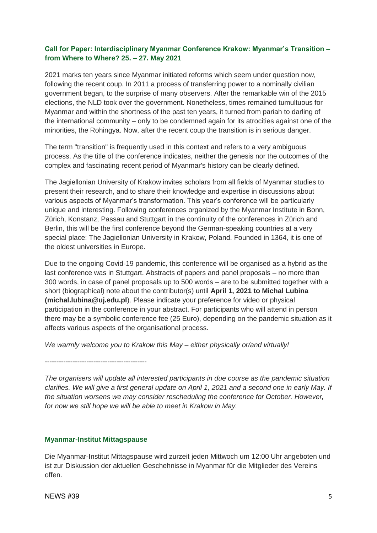## <span id="page-4-0"></span>**Call for Paper: Interdisciplinary Myanmar Conference Krakow: Myanmar's Transition – from Where to Where? 25. – 27. May 2021**

2021 marks ten years since Myanmar initiated reforms which seem under question now, following the recent coup. In 2011 a process of transferring power to a nominally civilian government began, to the surprise of many observers. After the remarkable win of the 2015 elections, the NLD took over the government. Nonetheless, times remained tumultuous for Myanmar and within the shortness of the past ten years, it turned from pariah to darling of the international community – only to be condemned again for its atrocities against one of the minorities, the Rohingya. Now, after the recent coup the transition is in serious danger.

The term "transition" is frequently used in this context and refers to a very ambiguous process. As the title of the conference indicates, neither the genesis nor the outcomes of the complex and fascinating recent period of Myanmar's history can be clearly defined.

The Jagiellonian University of Krakow invites scholars from all fields of Myanmar studies to present their research, and to share their knowledge and expertise in discussions about various aspects of Myanmar's transformation. This year's conference will be particularly unique and interesting. Following conferences organized by the Myanmar Institute in Bonn, Zürich, Konstanz, Passau and Stuttgart in the continuity of the conferences in Zürich and Berlin, this will be the first conference beyond the German-speaking countries at a very special place: The Jagiellonian University in Krakow, Poland. Founded in 1364, it is one of the oldest universities in Europe.

Due to the ongoing Covid-19 pandemic, this conference will be organised as a hybrid as the last conference was in Stuttgart. Abstracts of papers and panel proposals – no more than 300 words, in case of panel proposals up to 500 words – are to be submitted together with a short (biographical) note about the contributor(s) until **April 1, 2021 to Michal Lubina (michal.lubina@uj.edu.pl**). Please indicate your preference for video or physical participation in the conference in your abstract. For participants who will attend in person there may be a symbolic conference fee (25 Euro), depending on the pandemic situation as it affects various aspects of the organisational process.

*We warmly welcome you to Krakow this May – either physically or/and virtually!*

*--------------------------------------------*

*The organisers will update all interested participants in due course as the pandemic situation clarifies. We will give a first general update on April 1, 2021 and a second one in early May. If the situation worsens we may consider rescheduling the conference for October. However, for now we still hope we will be able to meet in Krakow in May.* 

## <span id="page-4-1"></span>**Myanmar-Institut Mittagspause**

Die Myanmar-Institut Mittagspause wird zurzeit jeden Mittwoch um 12:00 Uhr angeboten und ist zur Diskussion der aktuellen Geschehnisse in Myanmar für die Mitglieder des Vereins offen.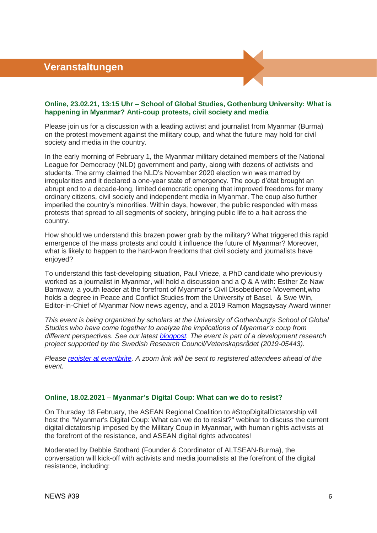### <span id="page-5-1"></span><span id="page-5-0"></span>**Online, 23.02.21, 13:15 Uhr – School of Global Studies, Gothenburg University: What is happening in Myanmar? Anti-coup protests, civil society and media**

Please join us for a discussion with a leading activist and journalist from Myanmar (Burma) on the protest movement against the military coup, and what the future may hold for civil society and media in the country.

In the early morning of February 1, the Myanmar military detained members of the National League for Democracy (NLD) government and party, along with dozens of activists and students. The army claimed the NLD's November 2020 election win was marred by irregularities and it declared a one-year state of emergency. The coup d'état brought an abrupt end to a decade-long, limited democratic opening that improved freedoms for many ordinary citizens, civil society and independent media in Myanmar. The coup also further imperiled the country's minorities. Within days, however, the public responded with mass protests that spread to all segments of society, bringing public life to a halt across the country.

How should we understand this brazen power grab by the military? What triggered this rapid emergence of the mass protests and could it influence the future of Myanmar? Moreover, what is likely to happen to the hard-won freedoms that civil society and journalists have enjoved?

To understand this fast-developing situation, Paul Vrieze, a PhD candidate who previously worked as a journalist in Myanmar, will hold a discussion and a Q & A with: Esther Ze Naw Bamwaw, a youth leader at the forefront of Myanmar's Civil Disobedience Movement,who holds a degree in Peace and Conflict Studies from the University of Basel. & Swe Win, Editor-in-Chief of Myanmar Now news agency, and a 2019 Ramon Magsaysay Award winner

*This event is being organized by scholars at the University of Gothenburg's School of Global Studies who have come together to analyze the implications of Myanmar's coup from different perspectives. See our latest [blogpost.](https://www.blogalstudies.com/post/what-s-so-funny-about-a-military-coup-how-generation-z-is-trolling-the-myanmar-army) The event is part of a development research project supported by the Swedish Research Council/Vetenskapsrådet (2019-05443).* 

*Please [register at eventbrite.](https://www.eventbrite.co.uk/e/what-is-happening-in-myanmar-anti-coup-protests-civil-society-and-media-tickets-141952029341?aff=ebdsoporgprofile) A zoom link will be sent to registered attendees ahead of the event.*

#### <span id="page-5-2"></span>**Online, 18.02.2021 – Myanmar's Digital Coup: What can we do to resist?**

On Thursday 18 February, the ASEAN Regional Coalition to #StopDigitalDictatorship will host the "Myanmar's Digital Coup: What can we do to resist?" webinar to discuss the current digital dictatorship imposed by the Military Coup in Myanmar, with human rights activists at the forefront of the resistance, and ASEAN digital rights advocates!

Moderated by Debbie Stothard (Founder & Coordinator of ALTSEAN-Burma), the conversation will kick-off with activists and media journalists at the forefront of the digital resistance, including: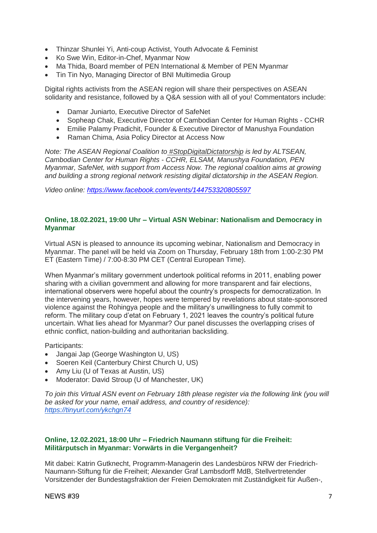- Thinzar Shunlei Yi, Anti-coup Activist, Youth Advocate & Feminist
- Ko Swe Win, Editor-in-Chef, Myanmar Now
- Ma Thida, Board member of PEN International & Member of PEN Myanmar
- Tin Tin Nyo, Managing Director of BNI Multimedia Group

Digital rights activists from the ASEAN region will share their perspectives on ASEAN solidarity and resistance, followed by a Q&A session with all of you! Commentators include:

- Damar Juniarto, Executive Director of SafeNet
- Sopheap Chak, Executive Director of Cambodian Center for Human Rights CCHR
- Emilie Palamy Pradichit, Founder & Executive Director of Manushya Foundation
- Raman Chima, Asia Policy Director at Access Now

*Note: The ASEAN Regional Coalition to [#StopDigitalDictatorship](https://www.facebook.com/hashtag/stopdigitaldictatorship?__eep__=6&__cft__%5b0%5d=AZVZh1pasUErSZs5XjrAjezkJII8t2qRjQ5VIvXM9NpcLMTHdEka2n-mOJ90mi7WH3lnGX2IxC-SZ5Fd62aIh5xwRP5RnbdNF8IeaZV2cqWYfLucGPvLpkdo19BIufCsxP8&__tn__=q) is led by ALTSEAN, Cambodian Center for Human Rights - CCHR, ELSAM, Manushya Foundation, PEN Myanmar, SafeNet, with support from Access Now. The regional coalition aims at growing and building a strong regional network resisting digital dictatorship in the ASEAN Region.*

*Video online:<https://www.facebook.com/events/144753320805597>*

#### <span id="page-6-0"></span>**Online, 18.02.2021, 19:00 Uhr – Virtual ASN Webinar: Nationalism and Democracy in Myanmar**

Virtual ASN is pleased to announce its upcoming webinar, Nationalism and Democracy in Myanmar. The panel will be held via Zoom on Thursday, February 18th from 1:00-2:30 PM ET (Eastern Time) / 7:00-8:30 PM CET (Central European Time).

When Myanmar's military government undertook political reforms in 2011, enabling power sharing with a civilian government and allowing for more transparent and fair elections, international observers were hopeful about the country's prospects for democratization. In the intervening years, however, hopes were tempered by revelations about state-sponsored violence against the Rohingya people and the military's unwillingness to fully commit to reform. The military coup d'etat on February 1, 2021 leaves the country's political future uncertain. What lies ahead for Myanmar? Our panel discusses the overlapping crises of ethnic conflict, nation-building and authoritarian backsliding.

Participants:

- Jangai Jap (George Washington U, US)
- Soeren Keil (Canterbury Chirst Church U, US)
- Amy Liu (U of Texas at Austin, US)
- Moderator: David Stroup (U of Manchester, UK)

*To join this Virtual ASN event on February 18th please register via the following link (you will be asked for your name, email address, and country of residence): <https://tinyurl.com/ykchgn74>*

## <span id="page-6-1"></span>**Online, 12.02.2021, 18:00 Uhr – Friedrich Naumann stiftung für die Freiheit: Militärputsch in Myanmar: Vorwärts in die Vergangenheit?**

Mit dabei: Katrin Gutknecht, Programm-Managerin des Landesbüros NRW der Friedrich-Naumann-Stiftung für die Freiheit; Alexander Graf Lambsdorff MdB, Stellvertretender Vorsitzender der Bundestagsfraktion der Freien Demokraten mit Zuständigkeit für Außen-,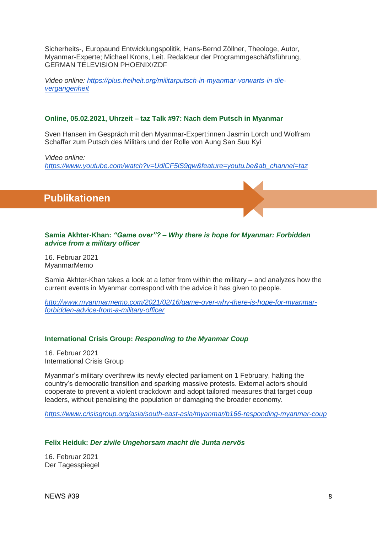Sicherheits-, Europaund Entwicklungspolitik, Hans-Bernd Zöllner, Theologe, Autor, Myanmar-Experte; Michael Krons, Leit. Redakteur der Programmgeschäftsführung, GERMAN TELEVISION PHOENIX/ZDF

*Video online: [https://plus.freiheit.org/militarputsch-in-myanmar-vorwarts-in-die](https://plus.freiheit.org/militarputsch-in-myanmar-vorwarts-in-die-vergangenheit)[vergangenheit](https://plus.freiheit.org/militarputsch-in-myanmar-vorwarts-in-die-vergangenheit)*

## <span id="page-7-0"></span>**Online, 05.02.2021, Uhrzeit – taz Talk #97: Nach dem Putsch in Myanmar**

Sven Hansen im Gespräch mit den Myanmar-Expert:innen Jasmin Lorch und Wolfram Schaffar zum Putsch des Militärs und der Rolle von Aung San Suu Kyi

*Video online:* 

*[https://www.youtube.com/watch?v=UdlCF5lS9gw&feature=youtu.be&ab\\_channel=taz](https://www.youtube.com/watch?v=UdlCF5lS9gw&feature=youtu.be&ab_channel=taz)*

 **Publikationen**

### <span id="page-7-1"></span>**Samia Akhter-Khan:** *"Game over"? – Why there is hope for Myanmar: Forbidden advice from a military officer*

16. Februar 2021 MyanmarMemo

Samia Akhter-Khan takes a look at a letter from within the military – and analyzes how the current events in Myanmar correspond with the advice it has given to people.

*[http://www.myanmarmemo.com/2021/02/16/game-over-why-there-is-hope-for-myanmar](http://www.myanmarmemo.com/2021/02/16/game-over-why-there-is-hope-for-myanmar-forbidden-advice-from-a-military-officer)[forbidden-advice-from-a-military-officer](http://www.myanmarmemo.com/2021/02/16/game-over-why-there-is-hope-for-myanmar-forbidden-advice-from-a-military-officer)*

## <span id="page-7-2"></span>**International Crisis Group:** *Responding to the Myanmar Coup*

16. Februar 2021 International Crisis Group

Myanmar's military overthrew its newly elected parliament on 1 February, halting the country's democratic transition and sparking massive protests. External actors should cooperate to prevent a violent crackdown and adopt tailored measures that target coup leaders, without penalising the population or damaging the broader economy.

*<https://www.crisisgroup.org/asia/south-east-asia/myanmar/b166-responding-myanmar-coup>*

#### <span id="page-7-3"></span>**Felix Heiduk:** *Der zivile Ungehorsam macht die Junta nervös*

16. Februar 2021 Der Tagesspiegel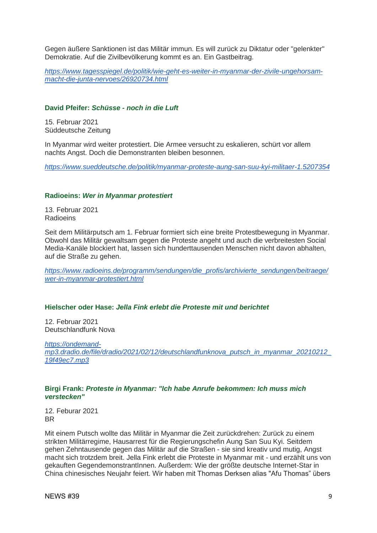Gegen äußere Sanktionen ist das Militär immun. Es will zurück zu Diktatur oder "gelenkter" Demokratie. Auf die Zivilbevölkerung kommt es an. Ein Gastbeitrag.

*[https://www.tagesspiegel.de/politik/wie-geht-es-weiter-in-myanmar-der-zivile-ungehorsam](https://www.tagesspiegel.de/politik/wie-geht-es-weiter-in-myanmar-der-zivile-ungehorsam-macht-die-junta-nervoes/26920734.html)[macht-die-junta-nervoes/26920734.html](https://www.tagesspiegel.de/politik/wie-geht-es-weiter-in-myanmar-der-zivile-ungehorsam-macht-die-junta-nervoes/26920734.html)*

## <span id="page-8-0"></span>**[David Pfeifer:](https://www.sueddeutsche.de/autoren/david-pfeifer-1.1715525)** *Schüsse - noch in die Luft*

15. Februar 2021 Süddeutsche Zeitung

In Myanmar wird weiter protestiert. Die Armee versucht zu eskalieren, schürt vor allem nachts Angst. Doch die Demonstranten bleiben besonnen.

*<https://www.sueddeutsche.de/politik/myanmar-proteste-aung-san-suu-kyi-militaer-1.5207354>*

#### <span id="page-8-1"></span>**Radioeins:** *Wer in Myanmar protestiert*

13. Februar 2021 Radioeins

Seit dem Militärputsch am 1. Februar formiert sich eine breite Protestbewegung in Myanmar. Obwohl das Militär gewaltsam gegen die Proteste angeht und auch die verbreitesten Social Media-Kanäle blockiert hat, lassen sich hunderttausenden Menschen nicht davon abhalten, auf die Straße zu gehen.

*[https://www.radioeins.de/programm/sendungen/die\\_profis/archivierte\\_sendungen/beitraege/](https://www.radioeins.de/programm/sendungen/die_profis/archivierte_sendungen/beitraege/wer-in-myanmar-protestiert.html) [wer-in-myanmar-protestiert.html](https://www.radioeins.de/programm/sendungen/die_profis/archivierte_sendungen/beitraege/wer-in-myanmar-protestiert.html)*

#### <span id="page-8-2"></span>**Hielscher oder Hase:** *Jella Fink erlebt die Proteste mit und berichtet*

12. Februar 2021 Deutschlandfunk Nova

*[https://ondemand](https://ondemand-mp3.dradio.de/file/dradio/2021/02/12/deutschlandfunknova_putsch_in_myanmar_20210212_19f49ec7.mp3)[mp3.dradio.de/file/dradio/2021/02/12/deutschlandfunknova\\_putsch\\_in\\_myanmar\\_20210212\\_](https://ondemand-mp3.dradio.de/file/dradio/2021/02/12/deutschlandfunknova_putsch_in_myanmar_20210212_19f49ec7.mp3) [19f49ec7.mp3](https://ondemand-mp3.dradio.de/file/dradio/2021/02/12/deutschlandfunknova_putsch_in_myanmar_20210212_19f49ec7.mp3)*

#### <span id="page-8-3"></span>**Birgi Frank:** *Proteste in Myanmar: "Ich habe Anrufe bekommen: Ich muss mich verstecken"*

12. Feburar 2021 BR

Mit einem Putsch wollte das Militär in Myanmar die Zeit zurückdrehen: Zurück zu einem strikten Militärregime, Hausarrest für die Regierungschefin Aung San Suu Kyi. Seitdem gehen Zehntausende gegen das Militär auf die Straßen - sie sind kreativ und mutig, Angst macht sich trotzdem breit. Jella Fink erlebt die Proteste in Myanmar mit - und erzählt uns von gekauften GegendemonstrantInnen. Außerdem: Wie der größte deutsche Internet-Star in China chinesisches Neujahr feiert. Wir haben mit Thomas Derksen alias "Afu Thomas" übers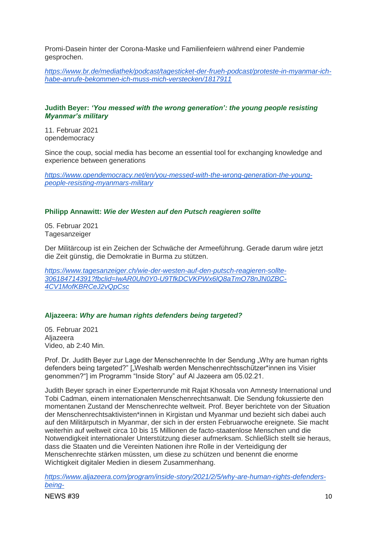Promi-Dasein hinter der Corona-Maske und Familienfeiern während einer Pandemie gesprochen.

*[https://www.br.de/mediathek/podcast/tagesticket-der-frueh-podcast/proteste-in-myanmar-ich](https://www.br.de/mediathek/podcast/tagesticket-der-frueh-podcast/proteste-in-myanmar-ich-habe-anrufe-bekommen-ich-muss-mich-verstecken/1817911)[habe-anrufe-bekommen-ich-muss-mich-verstecken/1817911](https://www.br.de/mediathek/podcast/tagesticket-der-frueh-podcast/proteste-in-myanmar-ich-habe-anrufe-bekommen-ich-muss-mich-verstecken/1817911)*

## <span id="page-9-0"></span>**Judith Beyer:** *'You messed with the wrong generation': the young people resisting Myanmar's military*

11. Februar 2021 opendemocracy

Since the coup, social media has become an essential tool for exchanging knowledge and experience between generations

*[https://www.opendemocracy.net/en/you-messed-with-the-wrong-generation-the-young](https://www.opendemocracy.net/en/you-messed-with-the-wrong-generation-the-young-people-resisting-myanmars-military)[people-resisting-myanmars-military](https://www.opendemocracy.net/en/you-messed-with-the-wrong-generation-the-young-people-resisting-myanmars-military)*

### <span id="page-9-1"></span>**Philipp Annawitt:** *Wie der Westen auf den Putsch reagieren sollte*

05. Februar 2021 Tagesanzeiger

Der Militärcoup ist ein Zeichen der Schwäche der Armeeführung. Gerade darum wäre jetzt die Zeit günstig, die Demokratie in Burma zu stützen.

*[https://www.tagesanzeiger.ch/wie-der-westen-auf-den-putsch-reagieren-sollte-](https://www.tagesanzeiger.ch/wie-der-westen-auf-den-putsch-reagieren-sollte-306184714391?fbclid=IwAR0Uh0Y0-U9TfkDCVKPWx6lQ8aTmO78nJN0ZBC-4CV1MofKBRCeJ2vQpCsc)[306184714391?fbclid=IwAR0Uh0Y0-U9TfkDCVKPWx6lQ8aTmO78nJN0ZBC-](https://www.tagesanzeiger.ch/wie-der-westen-auf-den-putsch-reagieren-sollte-306184714391?fbclid=IwAR0Uh0Y0-U9TfkDCVKPWx6lQ8aTmO78nJN0ZBC-4CV1MofKBRCeJ2vQpCsc)[4CV1MofKBRCeJ2vQpCsc](https://www.tagesanzeiger.ch/wie-der-westen-auf-den-putsch-reagieren-sollte-306184714391?fbclid=IwAR0Uh0Y0-U9TfkDCVKPWx6lQ8aTmO78nJN0ZBC-4CV1MofKBRCeJ2vQpCsc)*

## <span id="page-9-2"></span>**Aljazeera:** *Why are human rights defenders being targeted?*

05. Februar 2021 Aljazeera Video, ab 2:40 Min.

Prof. Dr. Judith Beyer zur Lage der Menschenrechte In der Sendung "Why are human rights defenders being targeted?" ["Weshalb werden Menschenrechtsschützer\*innen ins Visier genommen?"] im Programm "Inside Story" auf Al Jazeera am 05.02.21.

Judith Beyer sprach in einer Expertenrunde mit Rajat Khosala von Amnesty International und Tobi Cadman, einem internationalen Menschenrechtsanwalt. Die Sendung fokussierte den momentanen Zustand der Menschenrechte weltweit. Prof. Beyer berichtete von der Situation der Menschenrechtsaktivisten\*innen in Kirgistan und Myanmar und bezieht sich dabei auch auf den Militärputsch in Myanmar, der sich in der ersten Februarwoche ereignete. Sie macht weiterhin auf weltweit circa 10 bis 15 Millionen de facto-staatenlose Menschen und die Notwendigkeit internationaler Unterstützung dieser aufmerksam. Schließlich stellt sie heraus, dass die Staaten und die Vereinten Nationen ihre Rolle in der Verteidigung der Menschenrechte stärken müssten, um diese zu schützen und benennt die enorme Wichtigkeit digitaler Medien in diesem Zusammenhang.

*[https://www.aljazeera.com/program/inside-story/2021/2/5/why-are-human-rights-defenders](https://www.aljazeera.com/program/inside-story/2021/2/5/why-are-human-rights-defenders-being-targeted?fbclid=IwAR21K4zBdFymPTVUOVVmOXUSlWjcr4zEAC6qOSM8MvYmMd6dRayalKmEDtc)[being-](https://www.aljazeera.com/program/inside-story/2021/2/5/why-are-human-rights-defenders-being-targeted?fbclid=IwAR21K4zBdFymPTVUOVVmOXUSlWjcr4zEAC6qOSM8MvYmMd6dRayalKmEDtc)*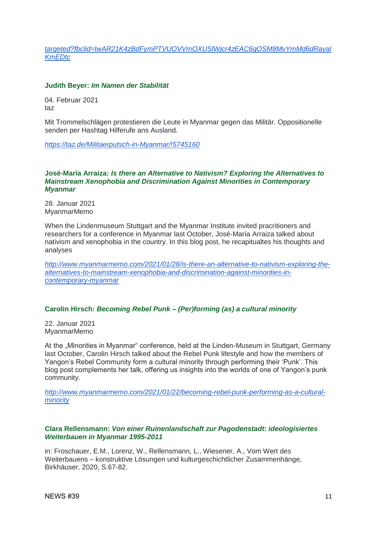*[targeted?fbclid=IwAR21K4zBdFymPTVUOVVmOXUSlWjcr4zEAC6qOSM8MvYmMd6dRayal](https://www.aljazeera.com/program/inside-story/2021/2/5/why-are-human-rights-defenders-being-targeted?fbclid=IwAR21K4zBdFymPTVUOVVmOXUSlWjcr4zEAC6qOSM8MvYmMd6dRayalKmEDtc) [KmEDtc](https://www.aljazeera.com/program/inside-story/2021/2/5/why-are-human-rights-defenders-being-targeted?fbclid=IwAR21K4zBdFymPTVUOVVmOXUSlWjcr4zEAC6qOSM8MvYmMd6dRayalKmEDtc)*

## <span id="page-10-0"></span>**Judith Beyer:** *Im Namen der Stabilität*

04. Februar 2021 taz

Mit Trommelschlägen protestieren die Leute in Myanmar gegen das Militär. Oppositionelle senden per Hashtag Hilferufe ans Ausland.

*<https://taz.de/Militaerputsch-in-Myanmar/!5745160>*

#### <span id="page-10-1"></span>**José-María Arraiza:** *Is there an Alternative to Nativism? Exploring the Alternatives to Mainstream Xenophobia and Discrimination Against Minorities in Contemporary Myanmar*

28. Januar 2021 MyanmarMemo

When the Lindenmuseum Stuttgart and the Myanmar Institute invited pracritioners and researchers for a conference in Myanmar last October, José-María Arraiza talked about nativism and xenophobia in the country. In this blog post, he recapitualtes his thoughts and analyses

*[http://www.myanmarmemo.com/2021/01/28/is-there-an-alternative-to-nativism-exploring-the](http://www.myanmarmemo.com/2021/01/28/is-there-an-alternative-to-nativism-exploring-the-alternatives-to-mainstream-xenophobia-and-discrimination-against-minorities-in-contemporary-myanmar)[alternatives-to-mainstream-xenophobia-and-discrimination-against-minorities-in](http://www.myanmarmemo.com/2021/01/28/is-there-an-alternative-to-nativism-exploring-the-alternatives-to-mainstream-xenophobia-and-discrimination-against-minorities-in-contemporary-myanmar)[contemporary-myanmar](http://www.myanmarmemo.com/2021/01/28/is-there-an-alternative-to-nativism-exploring-the-alternatives-to-mainstream-xenophobia-and-discrimination-against-minorities-in-contemporary-myanmar)*

#### <span id="page-10-2"></span>**[Carolin Hirsch:](http://www.myanmarmemo.com/author/carolin/)** *Becoming Rebel Punk – (Per)forming (as) a cultural minority*

22. Januar 2021 MyanmarMemo

At the "Minorities in Myanmar" conference, held at the Linden-Museum in Stuttgart, Germany last October, Carolin Hirsch talked about the Rebel Punk lifestyle and how the members of Yangon's Rebel Community form a cultural minority through performing their 'Punk'. This blog post complements her talk, offering us insights into the worlds of one of Yangon's punk community.

*[http://www.myanmarmemo.com/2021/01/22/becoming-rebel-punk-performing-as-a-cultural](http://www.myanmarmemo.com/2021/01/22/becoming-rebel-punk-performing-as-a-cultural-minority)[minority](http://www.myanmarmemo.com/2021/01/22/becoming-rebel-punk-performing-as-a-cultural-minority)*

### <span id="page-10-3"></span>**Clara Rellensmann:** *Von einer Ruinenlandschaft zur Pagodenstadt: ideologisiertes Weiterbauen in Myanmar 1995-2011*

in: Froschauer, E.M., Lorenz, W., Rellensmann, L., Wiesener, A., Vom Wert des Weiterbauens – konstruktive Lösungen und kulturgeschichtlicher Zusammenhänge, Birkhäuser, 2020, S.67-82.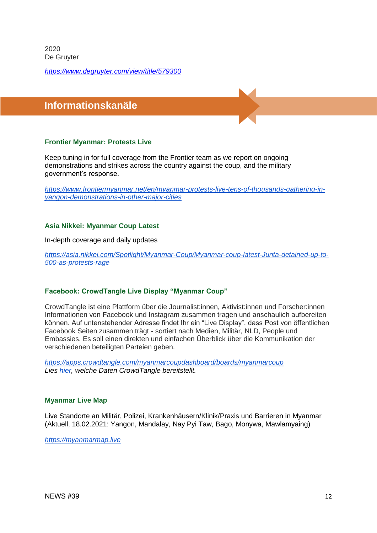2020 De Gruyter

*<https://www.degruyter.com/view/title/579300>*

## <span id="page-11-0"></span> **Informationskanäle**

## <span id="page-11-1"></span>**Frontier Myanmar: Protests Live**

Keep tuning in for full coverage from the Frontier team as we report on ongoing demonstrations and strikes across the country against the coup, and the military government's response.

*[https://www.frontiermyanmar.net/en/myanmar-protests-live-tens-of-thousands-gathering-in](https://www.frontiermyanmar.net/en/myanmar-protests-live-tens-of-thousands-gathering-in-yangon-demonstrations-in-other-major-cities)[yangon-demonstrations-in-other-major-cities](https://www.frontiermyanmar.net/en/myanmar-protests-live-tens-of-thousands-gathering-in-yangon-demonstrations-in-other-major-cities)*

### <span id="page-11-2"></span>**Asia Nikkei: Myanmar Coup Latest**

In-depth coverage and daily updates

*[https://asia.nikkei.com/Spotlight/Myanmar-Coup/Myanmar-coup-latest-Junta-detained-up-to-](https://asia.nikkei.com/Spotlight/Myanmar-Coup/Myanmar-coup-latest-Junta-detained-up-to-500-as-protests-rage)[500-as-protests-rage](https://asia.nikkei.com/Spotlight/Myanmar-Coup/Myanmar-coup-latest-Junta-detained-up-to-500-as-protests-rage)*

#### <span id="page-11-3"></span>**Facebook: CrowdTangle Live Display "Myanmar Coup"**

CrowdTangle ist eine Plattform über die Journalist:innen, Aktivist:innen und Forscher:innen Informationen von Facebook und Instagram zusammen tragen und anschaulich aufbereiten können. Auf untenstehender Adresse findet Ihr ein "Live Display", dass Post von öffentlichen Facebook Seiten zusammen trägt - sortiert nach Medien, Militär, NLD, People und Embassies. Es soll einen direkten und einfachen Überblick über die Kommunikation der verschiedenen beteiligten Parteien geben.

*<https://apps.crowdtangle.com/myanmarcoupdashboard/boards/myanmarcoup> Lies [hier,](https://help.crowdtangle.com/en/articles/1140930-what-data-is-crowdtangle-tracking) welche Daten CrowdTangle bereitstellt.*

#### <span id="page-11-4"></span>**Myanmar Live Map**

Live Standorte an Militär, Polizei, Krankenhäusern/Klinik/Praxis und Barrieren in Myanmar (Aktuell, 18.02.2021: Yangon, Mandalay, Nay Pyi Taw, Bago, Monywa, Mawlamyaing)

*[https://myanmarmap.live](https://myanmarmap.live/)*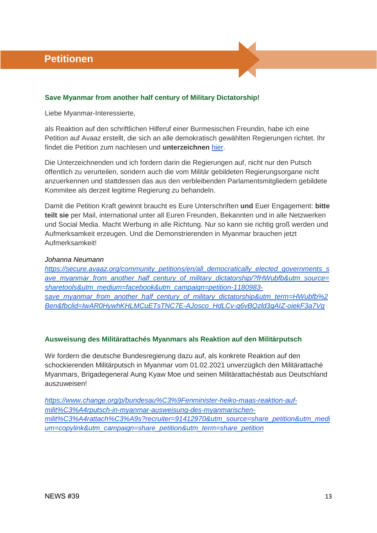## <span id="page-12-1"></span><span id="page-12-0"></span>**Save Myanmar from another half century of Military Dictatorship!**

Liebe Myanmar-Interessierte,

als Reaktion auf den schriftlichen Hilferuf einer Burmesischen Freundin, habe ich eine Petition auf Avaaz erstellt, die sich an alle demokratisch gewählten Regierungen richtet. Ihr findet die Petition zum nachlesen und **unterzeichnen** [hier.](https://secure.avaaz.org/community_petitions/en/all_democratically_elected_governments_save_myanmar_from_another_half_century_of_military_dictatorship/?fHWubfb&utm_source=sharetools&utm_medium=facebook&utm_campaign=petition-1180983-save_myanmar_from_another_half_century_of_military_dictatorship&utm_term=HWubfb%2Ben&fbclid=IwAR0HywhKHLMCuETsTNC7E-AJosco_HdLCv-g6vBQzld3gAIZ-oiekF3a7Vg)

Die Unterzeichnenden und ich fordern darin die Regierungen auf, nicht nur den Putsch öffentlich zu verurteilen, sondern auch die vom Militär gebildeten Regierungsorgane nicht anzuerkennen und stattdessen das aus den verbleibenden Parlamentsmitgliedern gebildete Kommitee als derzeit legitime Regierung zu behandeln.

Damit die Petition Kraft gewinnt braucht es Eure Unterschriften **und** Euer Engagement: **bitte teilt sie** per Mail, international unter all Euren Freunden, Bekannten und in alle Netzwerken und Social Media. Macht Werbung in alle Richtung. Nur so kann sie richtig groß werden und Aufmerksamkeit erzeugen. Und die Demonstrierenden in Myanmar brauchen jetzt Aufmerksamkeit!

## *Johanna Neumann*

*[https://secure.avaaz.org/community\\_petitions/en/all\\_democratically\\_elected\\_governments\\_s](https://secure.avaaz.org/community_petitions/en/all_democratically_elected_governments_save_myanmar_from_another_half_century_of_military_dictatorship/?fHWubfb&utm_source=sharetools&utm_medium=facebook&utm_campaign=petition-1180983-save_myanmar_from_another_half_century_of_military_dictatorship&utm_term=HWubfb%2Ben&fbclid=IwAR0HywhKHLMCuETsTNC7E-AJosco_HdLCv-g6vBQzld3gAIZ-oiekF3a7Vg) [ave\\_myanmar\\_from\\_another\\_half\\_century\\_of\\_military\\_dictatorship/?fHWubfb&utm\\_source=](https://secure.avaaz.org/community_petitions/en/all_democratically_elected_governments_save_myanmar_from_another_half_century_of_military_dictatorship/?fHWubfb&utm_source=sharetools&utm_medium=facebook&utm_campaign=petition-1180983-save_myanmar_from_another_half_century_of_military_dictatorship&utm_term=HWubfb%2Ben&fbclid=IwAR0HywhKHLMCuETsTNC7E-AJosco_HdLCv-g6vBQzld3gAIZ-oiekF3a7Vg) [sharetools&utm\\_medium=facebook&utm\\_campaign=petition-1180983](https://secure.avaaz.org/community_petitions/en/all_democratically_elected_governments_save_myanmar_from_another_half_century_of_military_dictatorship/?fHWubfb&utm_source=sharetools&utm_medium=facebook&utm_campaign=petition-1180983-save_myanmar_from_another_half_century_of_military_dictatorship&utm_term=HWubfb%2Ben&fbclid=IwAR0HywhKHLMCuETsTNC7E-AJosco_HdLCv-g6vBQzld3gAIZ-oiekF3a7Vg) [save\\_myanmar\\_from\\_another\\_half\\_century\\_of\\_military\\_dictatorship&utm\\_term=HWubfb%2](https://secure.avaaz.org/community_petitions/en/all_democratically_elected_governments_save_myanmar_from_another_half_century_of_military_dictatorship/?fHWubfb&utm_source=sharetools&utm_medium=facebook&utm_campaign=petition-1180983-save_myanmar_from_another_half_century_of_military_dictatorship&utm_term=HWubfb%2Ben&fbclid=IwAR0HywhKHLMCuETsTNC7E-AJosco_HdLCv-g6vBQzld3gAIZ-oiekF3a7Vg) [Ben&fbclid=IwAR0HywhKHLMCuETsTNC7E-AJosco\\_HdLCv-g6vBQzld3gAIZ-oiekF3a7Vg](https://secure.avaaz.org/community_petitions/en/all_democratically_elected_governments_save_myanmar_from_another_half_century_of_military_dictatorship/?fHWubfb&utm_source=sharetools&utm_medium=facebook&utm_campaign=petition-1180983-save_myanmar_from_another_half_century_of_military_dictatorship&utm_term=HWubfb%2Ben&fbclid=IwAR0HywhKHLMCuETsTNC7E-AJosco_HdLCv-g6vBQzld3gAIZ-oiekF3a7Vg)*

## <span id="page-12-2"></span>**Ausweisung des Militärattachés Myanmars als Reaktion auf den Militärputsch**

Wir fordern die deutsche Bundesregierung dazu auf, als konkrete Reaktion auf den schockierenden Militärputsch in Myanmar vom 01.02.2021 unverzüglich den Militärattaché Myanmars, Brigadegeneral Aung Kyaw Moe und seinen Militärattachéstab aus Deutschland auszuweisen!

*[https://www.change.org/p/bundesau%C3%9Fenminister-heiko-maas-reaktion-auf](https://www.change.org/p/bundesau%C3%9Fenminister-heiko-maas-reaktion-auf-milit%C3%A4rputsch-in-myanmar-ausweisung-des-myanmarischen-milit%C3%A4rattach%C3%A9s?recruiter=91412970&utm_source=share_petition&utm_medium=copylink&utm_campaign=share_petition&utm_term=share_petition)[milit%C3%A4rputsch-in-myanmar-ausweisung-des-myanmarischen](https://www.change.org/p/bundesau%C3%9Fenminister-heiko-maas-reaktion-auf-milit%C3%A4rputsch-in-myanmar-ausweisung-des-myanmarischen-milit%C3%A4rattach%C3%A9s?recruiter=91412970&utm_source=share_petition&utm_medium=copylink&utm_campaign=share_petition&utm_term=share_petition)[milit%C3%A4rattach%C3%A9s?recruiter=91412970&utm\\_source=share\\_petition&utm\\_medi](https://www.change.org/p/bundesau%C3%9Fenminister-heiko-maas-reaktion-auf-milit%C3%A4rputsch-in-myanmar-ausweisung-des-myanmarischen-milit%C3%A4rattach%C3%A9s?recruiter=91412970&utm_source=share_petition&utm_medium=copylink&utm_campaign=share_petition&utm_term=share_petition) [um=copylink&utm\\_campaign=share\\_petition&utm\\_term=share\\_petition](https://www.change.org/p/bundesau%C3%9Fenminister-heiko-maas-reaktion-auf-milit%C3%A4rputsch-in-myanmar-ausweisung-des-myanmarischen-milit%C3%A4rattach%C3%A9s?recruiter=91412970&utm_source=share_petition&utm_medium=copylink&utm_campaign=share_petition&utm_term=share_petition)*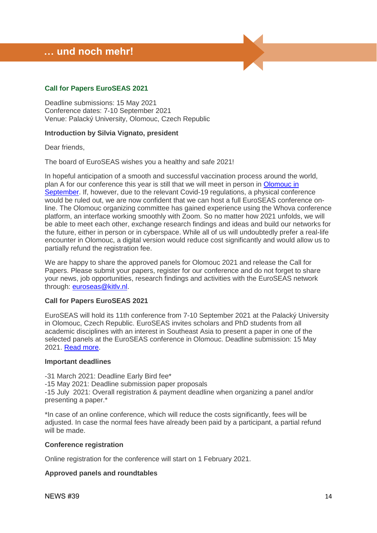## <span id="page-13-0"></span> **… und noch mehr!**

## <span id="page-13-1"></span>**Call for Papers EuroSEAS 2021**

Deadline submissions: 15 May 2021 Conference dates: 7-10 September 2021 Venue: Palacký University, Olomouc, Czech Republic

#### **Introduction by Silvia Vignato, president**

Dear friends,

The board of EuroSEAS wishes you a healthy and safe 2021!

In hopeful anticipation of a smooth and successful vaccination process around the world, plan A for our conference this year is still that we will meet in person in [Olomouc in](https://www.euroseas.org/conference-team-2021/)  [September.](https://www.euroseas.org/conference-team-2021/) If, however, due to the relevant Covid-19 regulations, a physical conference would be ruled out, we are now confident that we can host a full EuroSEAS conference online. The Olomouc organizing committee has gained experience using the Whova conference platform, an interface working smoothly with Zoom. So no matter how 2021 unfolds, we will be able to meet each other, exchange research findings and ideas and build our networks for the future, either in person or in cyberspace. While all of us will undoubtedly prefer a real-life encounter in Olomouc, a digital version would reduce cost significantly and would allow us to partially refund the registration fee.

We are happy to share the approved panels for Olomouc 2021 and release the Call for Papers. Please submit your papers, register for our conference and do not forget to share your news, job opportunities, research findings and activities with the EuroSEAS network through: [euroseas@kitlv.nl.](mailto:euroseas@kitlv.nl)

#### **Call for Papers EuroSEAS 2021**

EuroSEAS will hold its 11th conference from 7-10 September 2021 at the Palacký University in Olomouc, Czech Republic. EuroSEAS invites scholars and PhD students from all academic disciplines with an interest in Southeast Asia to present a paper in one of the selected panels at the EuroSEAS conference in Olomouc. Deadline submission: 15 May 2021. [Read more.](https://www.euroseas.org/call-for-papers/)

#### **Important deadlines**

-31 March 2021: Deadline Early Bird fee\*

-15 May 2021: Deadline submission paper proposals

-15 July 2021: Overall registration & payment deadline when organizing a panel and/or presenting a paper.\*

\*In case of an online conference, which will reduce the costs significantly, fees will be adjusted. In case the normal fees have already been paid by a participant, a partial refund will be made.

#### **Conference registration**

Online registration for the conference will start on 1 February 2021.

#### **Approved panels and roundtables**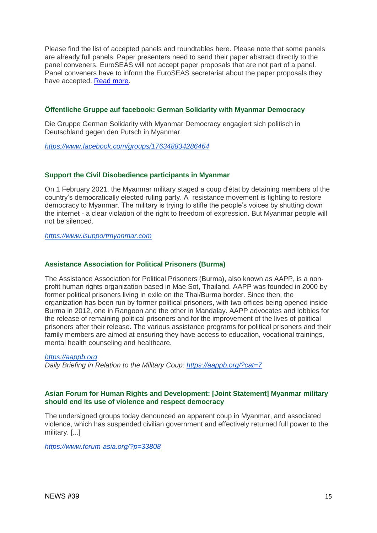Please find the list of accepted panels and roundtables here. Please note that some panels are already full panels. Paper presenters need to send their paper abstract directly to the panel conveners. EuroSEAS will not accept paper proposals that are not part of a panel. Panel conveners have to inform the EuroSEAS secretariat about the paper proposals they have accepted. [Read more.](https://www.euroseas.org/accepted-panels-roundtables/)

## <span id="page-14-0"></span>**Öffentliche Gruppe auf facebook: German Solidarity with Myanmar Democracy**

Die Gruppe German Solidarity with Myanmar Democracy engagiert sich politisch in Deutschland gegen den Putsch in Myanmar.

*<https://www.facebook.com/groups/176348834286464>*

### <span id="page-14-1"></span>**[Support t](https://www.isupportmyanmar.com/)he Civil Disobedience participants in Myanmar**

On 1 February 2021, the Myanmar military staged a coup d'état by detaining members of the country's democratically elected ruling party. A resistance movement is fighting to restore democracy to Myanmar. The military is trying to stifle the people's voices by shutting down the internet - a clear violation of the right to freedom of expression. But Myanmar people will not be silenced.

*[https://www.isupportmyanmar.com](https://www.isupportmyanmar.com/)*

#### <span id="page-14-2"></span>**Assistance Association for Political Prisoners (Burma)**

The Assistance Association for Political Prisoners (Burma), also known as AAPP, is a nonprofit human rights organization based in Mae Sot, Thailand. AAPP was founded in 2000 by former political prisoners living in exile on the Thai/Burma border. Since then, the organization has been run by former political prisoners, with two offices being opened inside Burma in 2012, one in Rangoon and the other in Mandalay. AAPP advocates and lobbies for the release of remaining political prisoners and for the improvement of the lives of political prisoners after their release. The various assistance programs for political prisoners and their family members are aimed at ensuring they have access to education, vocational trainings, mental health counseling and healthcare.

#### *[https://aappb.org](https://aappb.org/)*

*Daily Briefing in Relation to the Military Coup:<https://aappb.org/?cat=7>*

### <span id="page-14-3"></span>**[Asian Forum for Human Rights and Development:](https://www.forum-asia.org/) [Joint Statement] Myanmar military should end its use of violence and respect democracy**

The undersigned groups today denounced an apparent coup in Myanmar, and associated violence, which has suspended civilian government and effectively returned full power to the military. [...]

<span id="page-14-4"></span>*<https://www.forum-asia.org/?p=33808>*